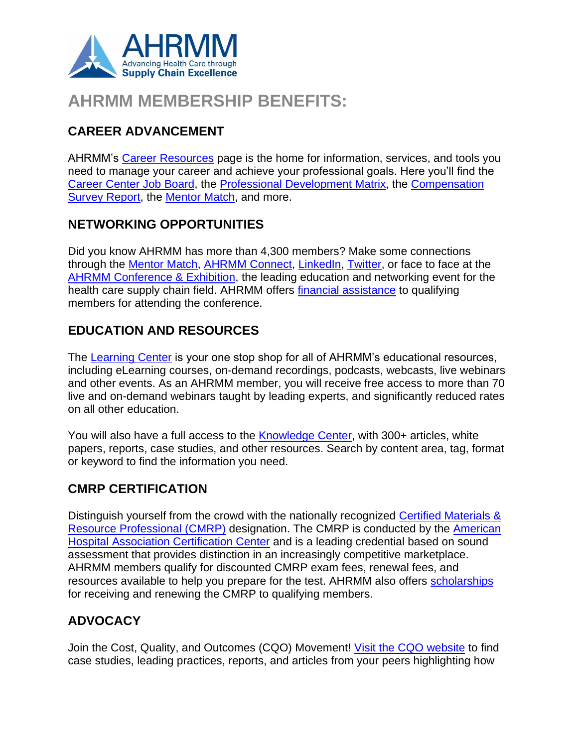

# **AHRMM MEMBERSHIP BENEFITS:**

# **CAREER ADVANCEMENT**

AHRMM's Career [Resources](http://www.ahrmm.org/resources/career-center/index.shtml) page is the home for information, services, and tools you need to manage your career and achieve your professional goals. Here you'll find the [Career Center Job Board,](http://careercenter.ahrmm.org/) the [Professional Development Matrix,](http://www.ahrmm.org/resources/career-center/professional-development-matrix/index.shtml) the [Compensation](http://www.ahrmm.org/resources/career-center/compensation-survey.shtml)  [Survey Report,](http://www.ahrmm.org/resources/career-center/compensation-survey.shtml) the [Mentor Match,](http://www.ahrmm.org/get-involved/connect/mentor-program/index.shtml) and more.

# **NETWORKING OPPORTUNITIES**

Did you know AHRMM has more than 4,300 members? Make some connections through the [Mentor Match,](http://www.ahrmm.org/get-involved/connect/mentor-program/index.shtml) [AHRMM Connect,](http://connect.ahrmm.org/home) [LinkedIn,](http://www.linkedin.com/groups?gid=1882661&trk=anetsrch_name&goback=%2Egdr_1251910276421_1) [Twitter,](http://twitter.com/AHRMMtweets) or face to face at the [AHRMM Conference & Exhibition,](http://www.ahrmm.org/education/annual-conference/index.shtml) the leading education and networking event for the health care supply chain field. AHRMM offers [financial assistance](http://www.ahrmm.org/education/scholarships/index.shtml) to qualifying members for attending the conference[.](http://www.ahrmm.org/education/annual-conference/index.shtml)

#### **EDUCATION AND RESOURCES**

The [Learning Center](http://www.ahrmm.org/education/learning-center/index.shtml) is your one stop shop for all of AHRMM's educational resources, including eLearning courses, on-demand recordings, podcasts, webcasts, live webinars and other events. As an AHRMM member, you will receive free access to more than 70 live and on-demand webinars taught by leading experts, and significantly reduced rates on all other education.

You will also have a full access to the [Knowledge Center,](http://www.ahrmm.org/knowledge-center) with 300+ articles, white papers, reports, case studies, and other resources. Search by content area, tag, format or keyword to find the information you need.

# **CMRP CERTIFICATION**

Distinguish yourself from the crowd with the nationally recognized Certified Materials & [Resource Professional \(CMRP\)](http://www.ahrmm.org/education/cmrp/index.shtml) designation. The CMRP is conducted by the [American](http://www.aha.org/certifcenter/CMRP/index.shtml)  [Hospital Association Certification Center](http://www.aha.org/certifcenter/CMRP/index.shtml) and is a leading credential based on sound assessment that provides distinction in an increasingly competitive marketplace. AHRMM members qualify for discounted CMRP exam fees, renewal fees, and resources available to help you prepare for the test. AHRMM also offers [scholarships](http://www.ahrmm.org/education/scholarships/index.shtml) for receiving and renewing the CMRP to qualifying members.

# **ADVOCACY**

Join the Cost, Quality, and Outcomes (CQO) Movement! [Visit the CQO website](http://www.ahrmm.org/cqo-movement/index.shtml) to find case studies, leading practices, reports, and articles from your peers highlighting how